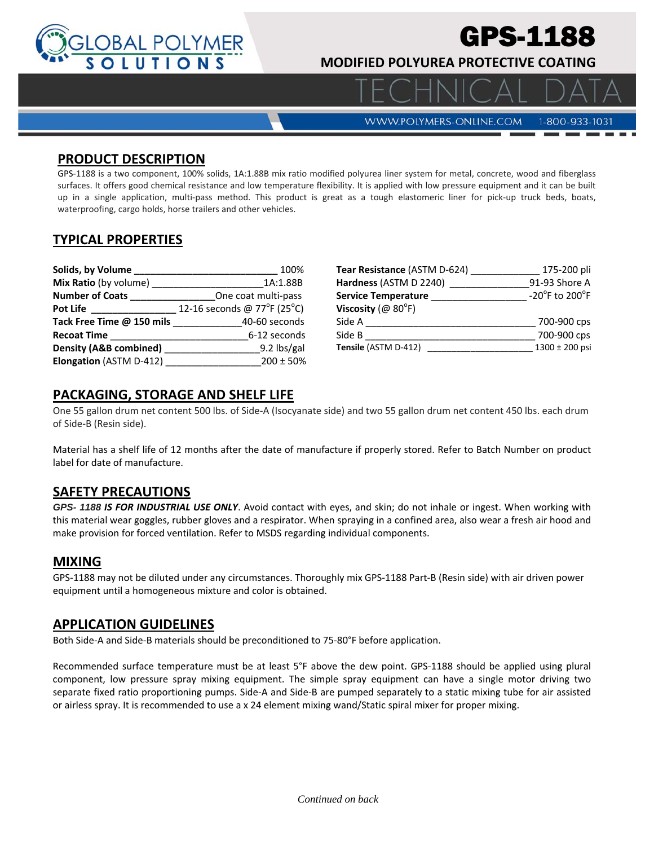

# PS-1188

 $\Delta$  |  $\Box$ 

**MODIFIED POLYUREA PROTECTIVE COATING** 

**WWW.POLYMERS-ONLINE.COM** 

1-800-933-1031

#### **PRODUCT DESCRIPTION**

GPS‐1188 is a two component, 100% solids, 1A:1.88B mix ratio modified polyurea liner system for metal, concrete, wood and fiberglass surfaces. It offers good chemical resistance and low temperature flexibility. It is applied with low pressure equipment and it can be built up in a single application, multi‐pass method. This product is great as a tough elastomeric liner for pick‐up truck beds, boats, waterproofing, cargo holds, horse trailers and other vehicles.

# **TYPICAL PROPERTIES**

| Solids, by Volume            | 100%                        |
|------------------------------|-----------------------------|
| <b>Mix Ratio</b> (by volume) | 1A:1.88B                    |
| <b>Number of Coats</b>       | One coat multi-pass         |
| <b>Pot Life</b>              | 12-16 seconds @ 77°F (25°C) |
| Tack Free Time @ 150 mils    | 40-60 seconds               |
| <b>Recoat Time</b>           | 6-12 seconds                |
| Density (A&B combined)       | 9.2 lbs/gal                 |
| Elongation (ASTM D-412)      | $200 \pm 50\%$              |

| Tear Resistance (ASTM D-624)     | 175-200 pli                                          |
|----------------------------------|------------------------------------------------------|
| Hardness (ASTM D 2240)           | 91-93 Shore A                                        |
| <b>Service Temperature</b>       | -20 $\mathrm{^{\circ}F}$ to 200 $\mathrm{^{\circ}F}$ |
| Viscosity ( $@$ 80 $^{\circ}$ F) |                                                      |
| Side A                           | 700-900 cps                                          |
| Side B                           | 700-900 cps                                          |
| Tensile (ASTM D-412)             | 1300 ± 200 psi                                       |

## **PACKAGING, STORAGE AND SHELF LIFE**

One 55 gallon drum net content 500 lbs. of Side‐A (Isocyanate side) and two 55 gallon drum net content 450 lbs. each drum of Side‐B (Resin side).

Material has a shelf life of 12 months after the date of manufacture if properly stored. Refer to Batch Number on product label for date of manufacture.

#### **SAFETY PRECAUTIONS**

*GPS- 1188 IS FOR INDUSTRIAL USE ONLY*. Avoid contact with eyes, and skin; do not inhale or ingest. When working with this material wear goggles, rubber gloves and a respirator. When spraying in a confined area, also wear a fresh air hood and make provision for forced ventilation. Refer to MSDS regarding individual components.

#### **MIXING**

GPS‐1188 may not be diluted under any circumstances. Thoroughly mix GPS‐1188 Part‐B (Resin side) with air driven power equipment until a homogeneous mixture and color is obtained.

#### **APPLICATION GUIDELINES**

Both Side‐A and Side‐B materials should be preconditioned to 75‐80°F before application.

Recommended surface temperature must be at least 5°F above the dew point. GPS‐1188 should be applied using plural component, low pressure spray mixing equipment. The simple spray equipment can have a single motor driving two separate fixed ratio proportioning pumps. Side‐A and Side‐B are pumped separately to a static mixing tube for air assisted or airless spray. It is recommended to use a x 24 element mixing wand/Static spiral mixer for proper mixing.